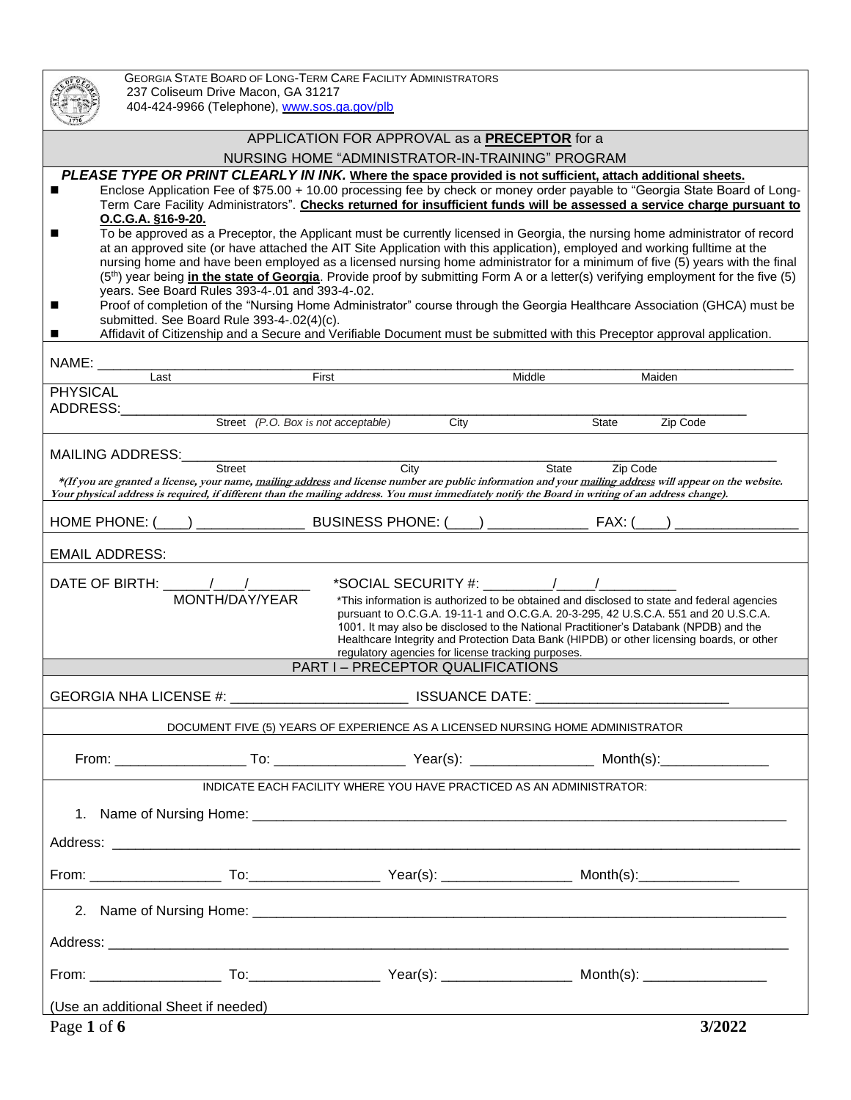|                                                                                                                                                   | <b>GEORGIA STATE BOARD OF LONG-TERM CARE FACILITY ADMINISTRATORS</b><br>237 Coliseum Drive Macon, GA 31217<br>404-424-9966 (Telephone), www.sos.ga.gov/plb |       |                                                                                                                             |          |                                                                                                                                                                                                                                                                                                                                                                                                                                                                                                                                                                                                                                                                                |
|---------------------------------------------------------------------------------------------------------------------------------------------------|------------------------------------------------------------------------------------------------------------------------------------------------------------|-------|-----------------------------------------------------------------------------------------------------------------------------|----------|--------------------------------------------------------------------------------------------------------------------------------------------------------------------------------------------------------------------------------------------------------------------------------------------------------------------------------------------------------------------------------------------------------------------------------------------------------------------------------------------------------------------------------------------------------------------------------------------------------------------------------------------------------------------------------|
|                                                                                                                                                   |                                                                                                                                                            |       | APPLICATION FOR APPROVAL as a PRECEPTOR for a                                                                               |          |                                                                                                                                                                                                                                                                                                                                                                                                                                                                                                                                                                                                                                                                                |
|                                                                                                                                                   |                                                                                                                                                            |       | NURSING HOME "ADMINISTRATOR-IN-TRAINING" PROGRAM                                                                            |          |                                                                                                                                                                                                                                                                                                                                                                                                                                                                                                                                                                                                                                                                                |
| п<br>O.C.G.A. §16-9-20.                                                                                                                           |                                                                                                                                                            |       | PLEASE TYPE OR PRINT CLEARLY IN INK. Where the space provided is not sufficient, attach additional sheets.                  |          | Enclose Application Fee of \$75.00 + 10.00 processing fee by check or money order payable to "Georgia State Board of Long-<br>Term Care Facility Administrators". Checks returned for insufficient funds will be assessed a service charge pursuant to                                                                                                                                                                                                                                                                                                                                                                                                                         |
| ■<br>п<br>■                                                                                                                                       | years. See Board Rules 393-4-.01 and 393-4-.02.<br>submitted. See Board Rule 393-4-.02(4)(c).                                                              |       | at an approved site (or have attached the AIT Site Application with this application), employed and working fulltime at the |          | To be approved as a Preceptor, the Applicant must be currently licensed in Georgia, the nursing home administrator of record<br>nursing home and have been employed as a licensed nursing home administrator for a minimum of five (5) years with the final<br>(5 <sup>th</sup> ) year being <i>in the state of Georgia</i> . Provide proof by submitting Form A or a letter(s) verifying employment for the five (5)<br>Proof of completion of the "Nursing Home Administrator" course through the Georgia Healthcare Association (GHCA) must be<br>Affidavit of Citizenship and a Secure and Verifiable Document must be submitted with this Preceptor approval application. |
| NAME: ____________                                                                                                                                |                                                                                                                                                            |       |                                                                                                                             |          |                                                                                                                                                                                                                                                                                                                                                                                                                                                                                                                                                                                                                                                                                |
| Last                                                                                                                                              |                                                                                                                                                            | First | Middle                                                                                                                      |          | Maiden                                                                                                                                                                                                                                                                                                                                                                                                                                                                                                                                                                                                                                                                         |
| <b>PHYSICAL</b>                                                                                                                                   |                                                                                                                                                            |       |                                                                                                                             |          |                                                                                                                                                                                                                                                                                                                                                                                                                                                                                                                                                                                                                                                                                |
| ADDRESS:                                                                                                                                          | Street (P.O. Box is not acceptable)                                                                                                                        |       | City                                                                                                                        | State    | Zip Code                                                                                                                                                                                                                                                                                                                                                                                                                                                                                                                                                                                                                                                                       |
| MAILING ADDRESS: MAILING                                                                                                                          |                                                                                                                                                            |       |                                                                                                                             |          |                                                                                                                                                                                                                                                                                                                                                                                                                                                                                                                                                                                                                                                                                |
| Your physical address is required, if different than the mailing address. You must immediately notify the Board in writing of an address change). | <b>Street</b>                                                                                                                                              | City  | State                                                                                                                       | Zip Code | *(If you are granted a license, your name, mailing address and license number are public information and your mailing address will appear on the website.                                                                                                                                                                                                                                                                                                                                                                                                                                                                                                                      |
|                                                                                                                                                   |                                                                                                                                                            |       |                                                                                                                             |          |                                                                                                                                                                                                                                                                                                                                                                                                                                                                                                                                                                                                                                                                                |
| <b>EMAIL ADDRESS:</b>                                                                                                                             |                                                                                                                                                            |       |                                                                                                                             |          |                                                                                                                                                                                                                                                                                                                                                                                                                                                                                                                                                                                                                                                                                |
|                                                                                                                                                   | MONTH/DAY/YEAR                                                                                                                                             |       |                                                                                                                             |          | *This information is authorized to be obtained and disclosed to state and federal agencies                                                                                                                                                                                                                                                                                                                                                                                                                                                                                                                                                                                     |
|                                                                                                                                                   |                                                                                                                                                            |       | 1001. It may also be disclosed to the National Practitioner's Databank (NPDB) and the                                       |          | pursuant to O.C.G.A. 19-11-1 and O.C.G.A. 20-3-295, 42 U.S.C.A. 551 and 20 U.S.C.A.<br>Healthcare Integrity and Protection Data Bank (HIPDB) or other licensing boards, or other                                                                                                                                                                                                                                                                                                                                                                                                                                                                                               |
|                                                                                                                                                   |                                                                                                                                                            |       | regulatory agencies for license tracking purposes.<br><b>PART I – PRECEPTOR QUALIFICATIONS</b>                              |          |                                                                                                                                                                                                                                                                                                                                                                                                                                                                                                                                                                                                                                                                                |
|                                                                                                                                                   |                                                                                                                                                            |       |                                                                                                                             |          | GEORGIA NHA LICENSE #: ________________________________ ISSUANCE DATE: ____________________________                                                                                                                                                                                                                                                                                                                                                                                                                                                                                                                                                                            |
|                                                                                                                                                   |                                                                                                                                                            |       | DOCUMENT FIVE (5) YEARS OF EXPERIENCE AS A LICENSED NURSING HOME ADMINISTRATOR                                              |          |                                                                                                                                                                                                                                                                                                                                                                                                                                                                                                                                                                                                                                                                                |
|                                                                                                                                                   |                                                                                                                                                            |       |                                                                                                                             |          |                                                                                                                                                                                                                                                                                                                                                                                                                                                                                                                                                                                                                                                                                |
|                                                                                                                                                   |                                                                                                                                                            |       | INDICATE EACH FACILITY WHERE YOU HAVE PRACTICED AS AN ADMINISTRATOR:                                                        |          |                                                                                                                                                                                                                                                                                                                                                                                                                                                                                                                                                                                                                                                                                |
|                                                                                                                                                   |                                                                                                                                                            |       |                                                                                                                             |          |                                                                                                                                                                                                                                                                                                                                                                                                                                                                                                                                                                                                                                                                                |
|                                                                                                                                                   |                                                                                                                                                            |       |                                                                                                                             |          |                                                                                                                                                                                                                                                                                                                                                                                                                                                                                                                                                                                                                                                                                |
|                                                                                                                                                   |                                                                                                                                                            |       |                                                                                                                             |          |                                                                                                                                                                                                                                                                                                                                                                                                                                                                                                                                                                                                                                                                                |
|                                                                                                                                                   |                                                                                                                                                            |       |                                                                                                                             |          |                                                                                                                                                                                                                                                                                                                                                                                                                                                                                                                                                                                                                                                                                |
|                                                                                                                                                   |                                                                                                                                                            |       |                                                                                                                             |          |                                                                                                                                                                                                                                                                                                                                                                                                                                                                                                                                                                                                                                                                                |
|                                                                                                                                                   |                                                                                                                                                            |       |                                                                                                                             |          |                                                                                                                                                                                                                                                                                                                                                                                                                                                                                                                                                                                                                                                                                |
|                                                                                                                                                   |                                                                                                                                                            |       |                                                                                                                             |          |                                                                                                                                                                                                                                                                                                                                                                                                                                                                                                                                                                                                                                                                                |
| (Use an additional Sheet if needed)<br>Page 1 of $6$                                                                                              |                                                                                                                                                            |       | <u> 1989 - Johann Stoff, deutscher Stoffen und der Stoffen und der Stoffen und der Stoffen und der Stoffen und de</u>       |          | 3/2022                                                                                                                                                                                                                                                                                                                                                                                                                                                                                                                                                                                                                                                                         |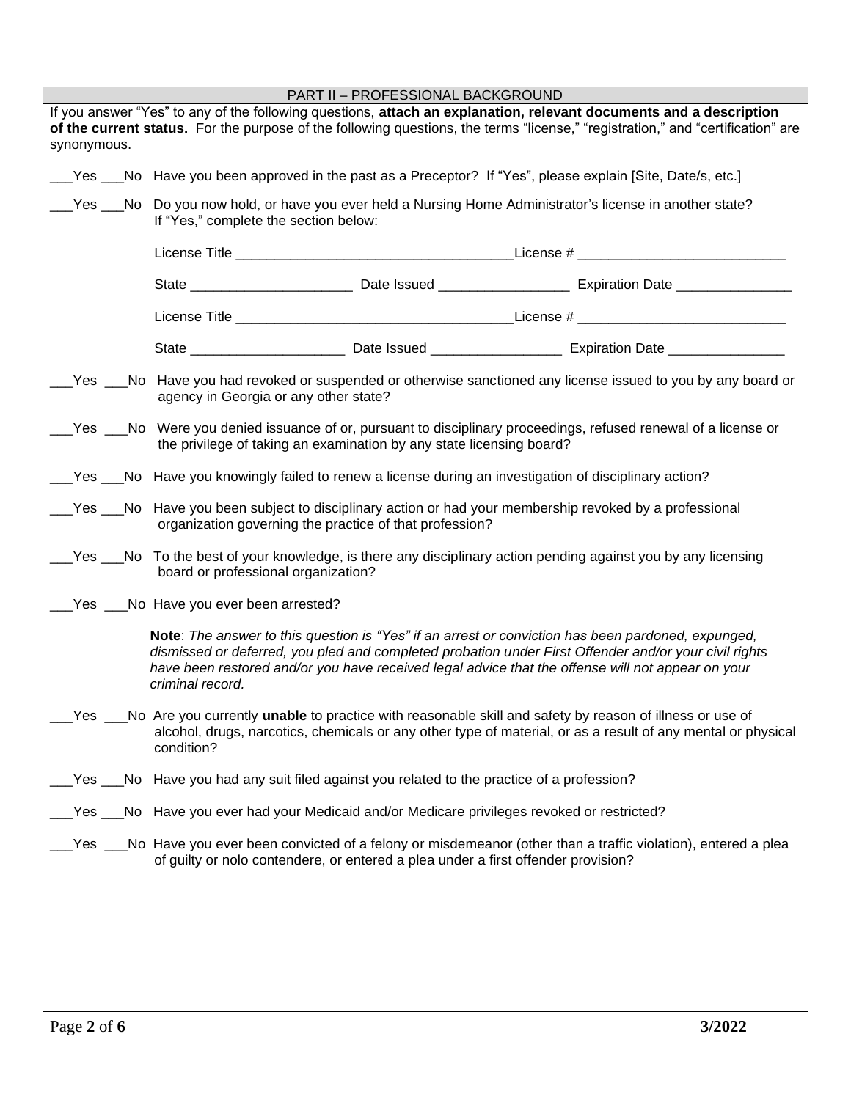|             | PART II - PROFESSIONAL BACKGROUND                                                                                                                                                                                                                                                                                                    |
|-------------|--------------------------------------------------------------------------------------------------------------------------------------------------------------------------------------------------------------------------------------------------------------------------------------------------------------------------------------|
| synonymous. | If you answer "Yes" to any of the following questions, attach an explanation, relevant documents and a description<br>of the current status. For the purpose of the following questions, the terms "license," "registration," and "certification" are                                                                                |
|             | __Yes __No Have you been approved in the past as a Preceptor? If "Yes", please explain [Site, Date/s, etc.]                                                                                                                                                                                                                          |
|             | No Do you now hold, or have you ever held a Nursing Home Administrator's license in another state?<br>If "Yes," complete the section below:                                                                                                                                                                                          |
|             |                                                                                                                                                                                                                                                                                                                                      |
|             |                                                                                                                                                                                                                                                                                                                                      |
|             |                                                                                                                                                                                                                                                                                                                                      |
|             |                                                                                                                                                                                                                                                                                                                                      |
|             | effex of the witherwise sandtional plusters issues and the Ves and Tes State of the very beard to you by any board or<br>agency in Georgia or any other state?                                                                                                                                                                       |
|             | Yes No Were you denied issuance of or, pursuant to disciplinary proceedings, refused renewal of a license or<br>the privilege of taking an examination by any state licensing board?                                                                                                                                                 |
|             | No Have you knowingly failed to renew a license during an investigation of disciplinary action?                                                                                                                                                                                                                                      |
|             | __Yes ___No Have you been subject to disciplinary action or had your membership revoked by a professional<br>organization governing the practice of that profession?                                                                                                                                                                 |
|             | __Yes __No To the best of your knowledge, is there any disciplinary action pending against you by any licensing<br>board or professional organization?                                                                                                                                                                               |
|             | __Yes __No Have you ever been arrested?                                                                                                                                                                                                                                                                                              |
|             | Note: The answer to this question is "Yes" if an arrest or conviction has been pardoned, expunged,<br>dismissed or deferred, you pled and completed probation under First Offender and/or your civil rights<br>have been restored and/or you have received legal advice that the offense will not appear on your<br>criminal record. |
|             | Yes ___No Are you currently <b>unable</b> to practice with reasonable skill and safety by reason of illness or use of<br>alcohol, drugs, narcotics, chemicals or any other type of material, or as a result of any mental or physical<br>condition?                                                                                  |
|             | Yes ___No Have you had any suit filed against you related to the practice of a profession?                                                                                                                                                                                                                                           |
|             | _Yes ___No Have you ever had your Medicaid and/or Medicare privileges revoked or restricted?                                                                                                                                                                                                                                         |
|             | _Yes ___No Have you ever been convicted of a felony or misdemeanor (other than a traffic violation), entered a plea<br>of guilty or nolo contendere, or entered a plea under a first offender provision?                                                                                                                             |
|             |                                                                                                                                                                                                                                                                                                                                      |
|             |                                                                                                                                                                                                                                                                                                                                      |
|             |                                                                                                                                                                                                                                                                                                                                      |
|             |                                                                                                                                                                                                                                                                                                                                      |

Г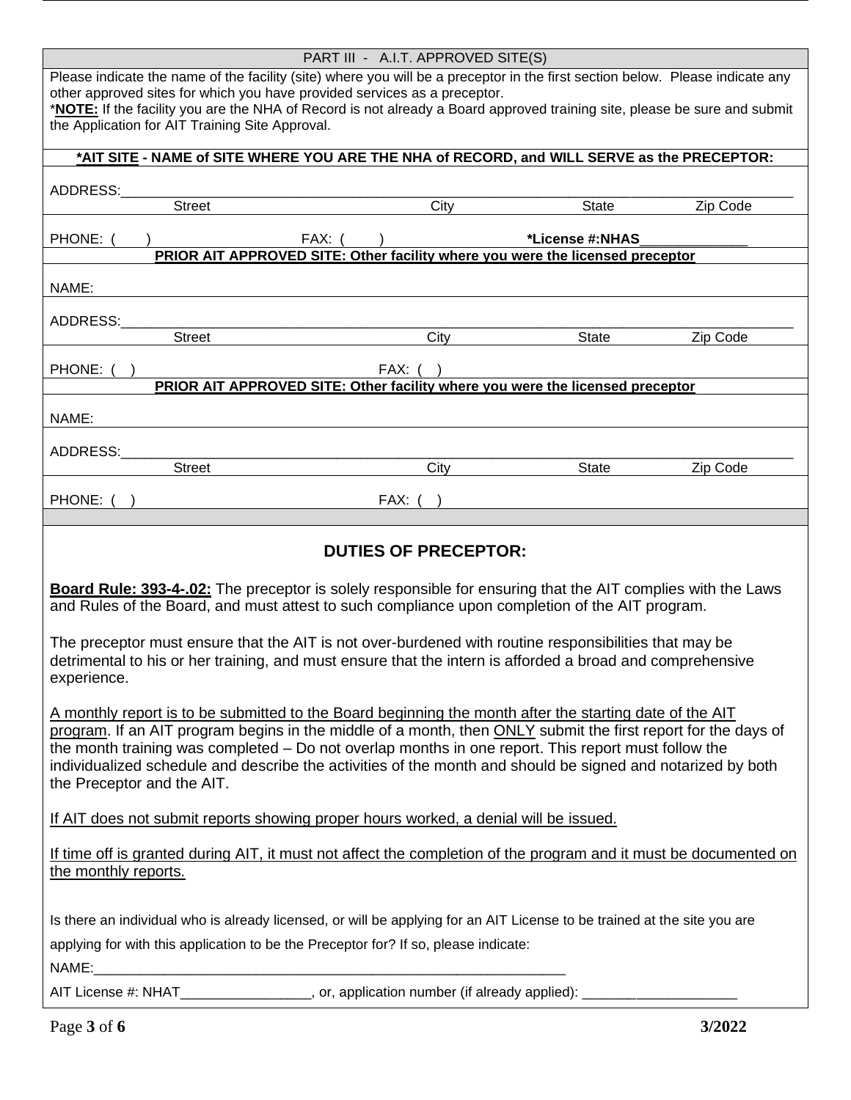|                                                                                                                                                                                                                                                                                                                                                                                                                                                                              | PART III - A.I.T. APPROVED SITE(S) |                 |          |
|------------------------------------------------------------------------------------------------------------------------------------------------------------------------------------------------------------------------------------------------------------------------------------------------------------------------------------------------------------------------------------------------------------------------------------------------------------------------------|------------------------------------|-----------------|----------|
| Please indicate the name of the facility (site) where you will be a preceptor in the first section below. Please indicate any<br>other approved sites for which you have provided services as a preceptor.<br>*NOTE: If the facility you are the NHA of Record is not already a Board approved training site, please be sure and submit<br>the Application for AIT Training Site Approval.                                                                                   |                                    |                 |          |
| *AIT SITE - NAME of SITE WHERE YOU ARE THE NHA of RECORD, and WILL SERVE as the PRECEPTOR:                                                                                                                                                                                                                                                                                                                                                                                   |                                    |                 |          |
| ADDRESS:                                                                                                                                                                                                                                                                                                                                                                                                                                                                     |                                    |                 |          |
| <b>Street</b>                                                                                                                                                                                                                                                                                                                                                                                                                                                                | City                               | <b>State</b>    | Zip Code |
| PHONE:<br>$FAX:$ (                                                                                                                                                                                                                                                                                                                                                                                                                                                           |                                    | *License #:NHAS |          |
| PRIOR AIT APPROVED SITE: Other facility where you were the licensed preceptor                                                                                                                                                                                                                                                                                                                                                                                                |                                    |                 |          |
| NAME:                                                                                                                                                                                                                                                                                                                                                                                                                                                                        |                                    |                 |          |
|                                                                                                                                                                                                                                                                                                                                                                                                                                                                              |                                    |                 |          |
| ADDRESS:<br><b>Street</b>                                                                                                                                                                                                                                                                                                                                                                                                                                                    | City                               | State           | Zip Code |
|                                                                                                                                                                                                                                                                                                                                                                                                                                                                              |                                    |                 |          |
| PHONE: (<br>PRIOR AIT APPROVED SITE: Other facility where you were the licensed preceptor                                                                                                                                                                                                                                                                                                                                                                                    | FAX:                               |                 |          |
|                                                                                                                                                                                                                                                                                                                                                                                                                                                                              |                                    |                 |          |
| NAME:                                                                                                                                                                                                                                                                                                                                                                                                                                                                        |                                    |                 |          |
| ADDRESS:                                                                                                                                                                                                                                                                                                                                                                                                                                                                     |                                    |                 |          |
| <b>Street</b>                                                                                                                                                                                                                                                                                                                                                                                                                                                                | City                               | State           | Zip Code |
| PHONE: (                                                                                                                                                                                                                                                                                                                                                                                                                                                                     | FAX:                               |                 |          |
|                                                                                                                                                                                                                                                                                                                                                                                                                                                                              |                                    |                 |          |
|                                                                                                                                                                                                                                                                                                                                                                                                                                                                              | <b>DUTIES OF PRECEPTOR:</b>        |                 |          |
| <b>Board Rule: 393-4-.02:</b> The preceptor is solely responsible for ensuring that the AIT complies with the Laws<br>and Rules of the Board, and must attest to such compliance upon completion of the AIT program.                                                                                                                                                                                                                                                         |                                    |                 |          |
| The preceptor must ensure that the AIT is not over-burdened with routine responsibilities that may be<br>detrimental to his or her training, and must ensure that the intern is afforded a broad and comprehensive<br>experience.                                                                                                                                                                                                                                            |                                    |                 |          |
| A monthly report is to be submitted to the Board beginning the month after the starting date of the AIT<br>program. If an AIT program begins in the middle of a month, then ONLY submit the first report for the days of<br>the month training was completed – Do not overlap months in one report. This report must follow the<br>individualized schedule and describe the activities of the month and should be signed and notarized by both<br>the Preceptor and the AIT. |                                    |                 |          |
| If AIT does not submit reports showing proper hours worked, a denial will be issued.                                                                                                                                                                                                                                                                                                                                                                                         |                                    |                 |          |
| If time off is granted during AIT, it must not affect the completion of the program and it must be documented on<br>the monthly reports.                                                                                                                                                                                                                                                                                                                                     |                                    |                 |          |
| Is there an individual who is already licensed, or will be applying for an AIT License to be trained at the site you are<br>applying for with this application to be the Preceptor for? If so, please indicate:                                                                                                                                                                                                                                                              |                                    |                 |          |
| AIT License #: NHAT_________________, or, application number (if already applied): _________________                                                                                                                                                                                                                                                                                                                                                                         |                                    |                 |          |
| Page 3 of 6                                                                                                                                                                                                                                                                                                                                                                                                                                                                  |                                    |                 | 3/2022   |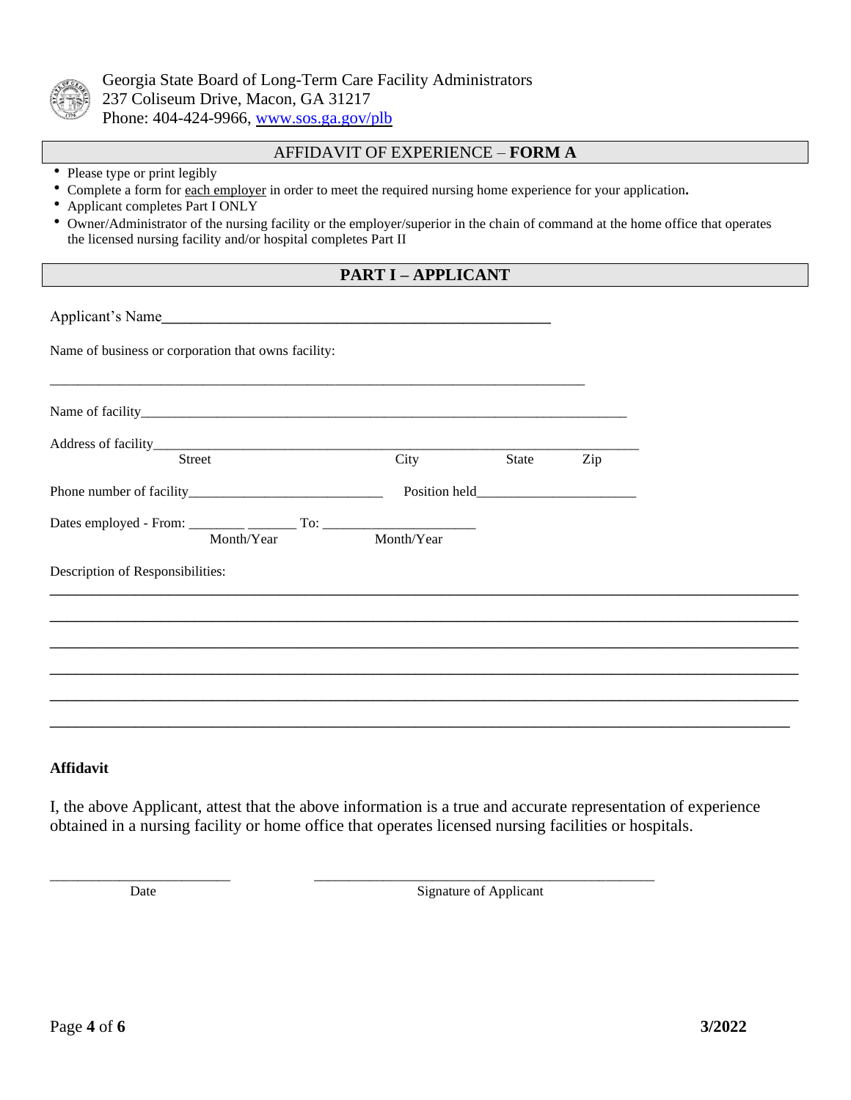

# AFFIDAVIT OF EXPERIENCE – **FORM A**

- Please type or print legibly
- Complete a form for each employer in order to meet the required nursing home experience for your application**.**
- Applicant completes Part I ONLY
- Owner/Administrator of the nursing facility or the employer/superior in the chain of command at the home office that operates the licensed nursing facility and/or hospital completes Part II

# **PART I – APPLICANT**

| Applicant's Name                                    |            |            |           |  |
|-----------------------------------------------------|------------|------------|-----------|--|
| Name of business or corporation that owns facility: |            |            |           |  |
|                                                     |            |            |           |  |
|                                                     |            |            |           |  |
|                                                     |            |            |           |  |
|                                                     | Street     | City       | State Zip |  |
|                                                     |            |            |           |  |
|                                                     |            |            |           |  |
|                                                     | Month/Year | Month/Year |           |  |
| Description of Responsibilities:                    |            |            |           |  |
|                                                     |            |            |           |  |
|                                                     |            |            |           |  |
|                                                     |            |            |           |  |
|                                                     |            |            |           |  |
|                                                     |            |            |           |  |
|                                                     |            |            |           |  |

## **Affidavit**

I, the above Applicant, attest that the above information is a true and accurate representation of experience obtained in a nursing facility or home office that operates licensed nursing facilities or hospitals.

\_\_\_\_\_\_\_\_\_\_\_\_\_\_\_\_\_\_\_\_\_\_\_\_\_\_ \_\_\_\_\_\_\_\_\_\_\_\_\_\_\_\_\_\_\_\_\_\_\_\_\_\_\_\_\_\_\_\_\_\_\_\_\_\_\_\_\_\_\_\_\_\_\_\_\_

Date Signature of Applicant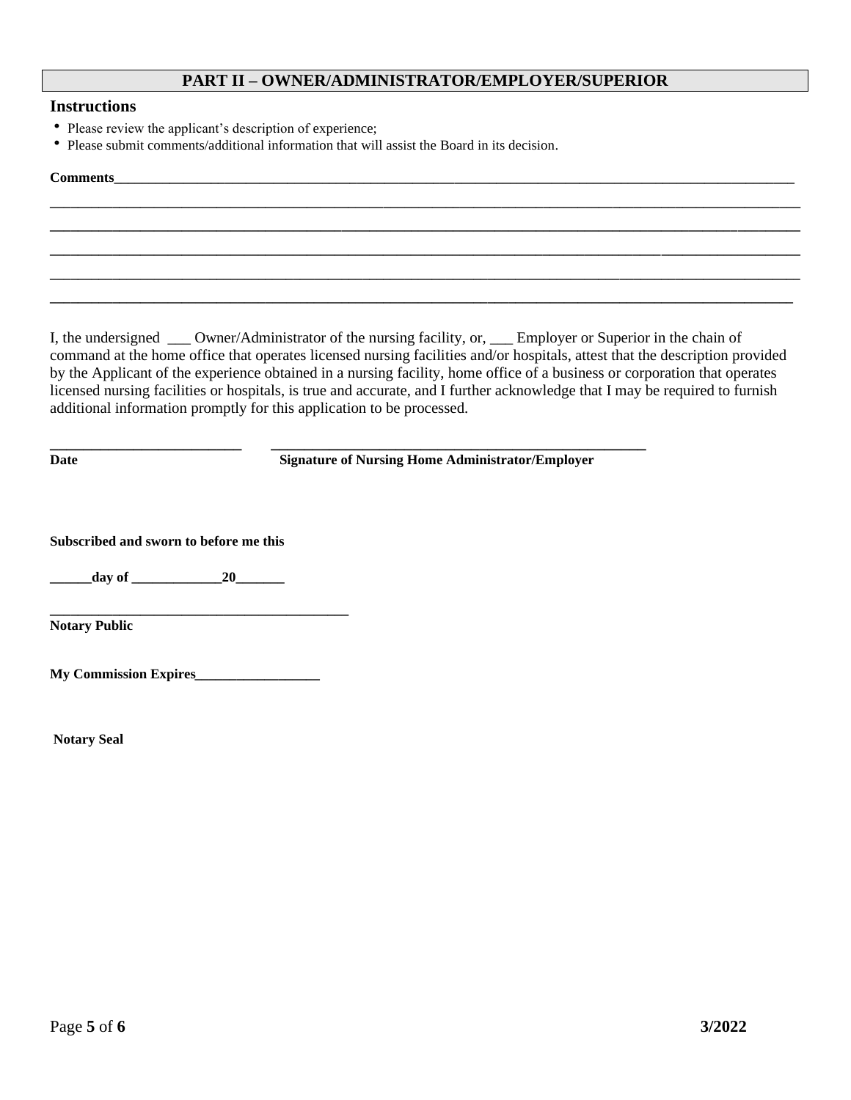## **PART II – OWNER/ADMINISTRATOR/EMPLOYER/SUPERIOR**

#### **Instructions**

- Please review the applicant's description of experience;
- Please submit comments/additional information that will assist the Board in its decision.

# **Comments\_\_\_\_\_\_\_\_\_\_\_\_\_\_\_\_\_\_\_\_\_\_\_\_\_\_\_\_\_\_\_\_\_\_\_\_\_\_\_\_\_\_\_\_\_\_\_\_\_\_\_\_\_\_\_\_\_\_\_\_\_\_\_\_\_\_\_\_\_\_\_\_\_\_\_\_\_\_\_\_\_\_\_\_\_\_\_\_\_\_\_\_\_\_\_\_\_\_ \_\_\_\_\_\_\_\_\_\_\_\_\_\_\_\_\_\_\_\_\_\_\_\_\_\_\_\_\_\_\_\_\_\_\_\_\_\_\_\_\_\_\_\_\_\_\_\_\_\_\_\_\_\_\_\_\_\_\_\_\_\_\_\_\_\_\_\_\_\_\_\_\_\_\_\_\_\_\_\_\_\_\_\_\_\_\_\_\_\_\_\_\_\_\_\_\_\_\_\_\_\_\_\_\_\_\_\_ \_\_\_\_\_\_\_\_\_\_\_\_\_\_\_\_\_\_\_\_\_\_\_\_\_\_\_\_\_\_\_\_\_\_\_\_\_\_\_\_\_\_\_\_\_\_\_\_\_\_\_\_\_\_\_\_\_\_\_\_\_\_\_\_\_\_\_\_\_\_\_\_\_\_\_\_\_\_\_\_\_\_\_\_\_\_\_\_\_\_\_\_\_\_\_\_\_\_\_\_\_\_\_\_\_\_\_\_ \_\_\_\_\_\_\_\_\_\_\_\_\_\_\_\_\_\_\_\_\_\_\_\_\_\_\_\_\_\_\_\_\_\_\_\_\_\_\_\_\_\_\_\_\_\_\_\_\_\_\_\_\_\_\_\_\_\_\_\_\_\_\_\_\_\_\_\_\_\_\_\_\_\_\_\_\_\_\_\_\_\_\_\_\_\_\_\_\_\_\_\_\_\_\_\_\_\_\_\_\_\_\_\_\_\_\_\_ \_\_\_\_\_\_\_\_\_\_\_\_\_\_\_\_\_\_\_\_\_\_\_\_\_\_\_\_\_\_\_\_\_\_\_\_\_\_\_\_\_\_\_\_\_\_\_\_\_\_\_\_\_\_\_\_\_\_\_\_\_\_\_\_\_\_\_\_\_\_\_\_\_\_\_\_\_\_\_\_\_\_\_\_\_\_\_\_\_\_\_\_\_\_\_\_\_\_\_\_\_\_\_\_\_\_\_\_ \_\_\_\_\_\_\_\_\_\_\_\_\_\_\_\_\_\_\_\_\_\_\_\_\_\_\_\_\_\_\_\_\_\_\_\_\_\_\_\_\_\_\_\_\_\_\_\_\_\_\_\_\_\_\_\_\_\_\_\_\_\_\_\_\_\_\_\_\_\_\_\_\_\_\_\_\_\_\_\_\_\_\_\_\_\_\_\_\_\_\_\_\_\_\_\_\_\_\_\_\_\_\_\_\_\_\_**

I, the undersigned \_\_\_ Owner/Administrator of the nursing facility, or, \_\_\_ Employer or Superior in the chain of command at the home office that operates licensed nursing facilities and/or hospitals, attest that the description provided by the Applicant of the experience obtained in a nursing facility, home office of a business or corporation that operates licensed nursing facilities or hospitals, is true and accurate, and I further acknowledge that I may be required to furnish additional information promptly for this application to be processed.

**\_\_\_\_\_\_\_\_\_\_\_\_\_\_\_\_\_\_\_\_\_\_\_ \_\_\_\_\_\_\_\_\_\_\_\_\_\_\_\_\_\_\_\_\_\_\_\_\_\_\_\_\_\_\_\_\_\_\_\_\_\_\_\_\_\_\_\_\_**

**Date Signature of Nursing Home Administrator/Employer**

**Subscribed and sworn to before me this**

**\_\_\_\_\_\_day of \_\_\_\_\_\_\_\_\_\_\_\_\_20\_\_\_\_\_\_\_**

**Notary Public**

**My Commission Expires***\_\_\_\_\_\_\_\_\_\_\_\_\_\_\_\_\_\_* 

**\_\_\_\_\_\_\_\_\_\_\_\_\_\_\_\_\_\_\_\_\_\_\_\_\_\_\_\_\_\_\_\_\_\_\_\_\_\_\_\_\_\_\_**

**Notary Seal**